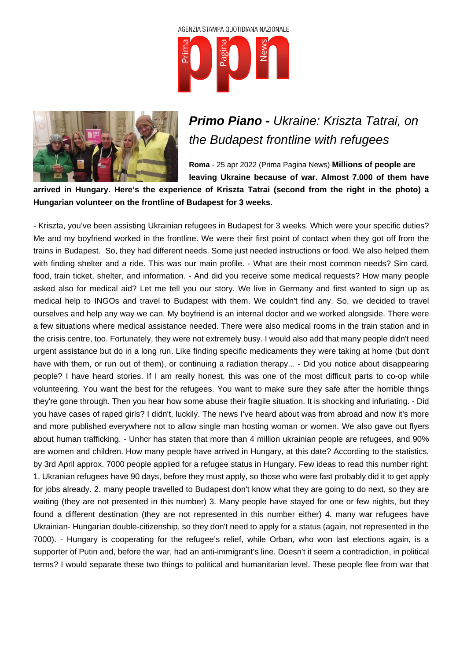



## **Primo Piano -** Ukraine: Kriszta Tatrai, on the Budapest frontline with refugees

**Roma** - 25 apr 2022 (Prima Pagina News) **Millions of people are leaving Ukraine because of war. Almost 7.000 of them have**

**arrived in Hungary. Here's the experience of Kriszta Tatrai (second from the right in the photo) a Hungarian volunteer on the frontline of Budapest for 3 weeks.** 

- Kriszta, you've been assisting Ukrainian refugees in Budapest for 3 weeks. Which were your specific duties? Me and my boyfriend worked in the frontline. We were their first point of contact when they got off from the trains in Budapest. So, they had different needs. Some just needed instructions or food. We also helped them with finding shelter and a ride. This was our main profile. - What are their most common needs? Sim card, food, train ticket, shelter, and information. - And did you receive some medical requests? How many people asked also for medical aid? Let me tell you our story. We live in Germany and first wanted to sign up as medical help to INGOs and travel to Budapest with them. We couldn't find any. So, we decided to travel ourselves and help any way we can. My boyfriend is an internal doctor and we worked alongside. There were a few situations where medical assistance needed. There were also medical rooms in the train station and in the crisis centre, too. Fortunately, they were not extremely busy. I would also add that many people didn't need urgent assistance but do in a long run. Like finding specific medicaments they were taking at home (but don't have with them, or run out of them), or continuing a radiation therapy... - Did you notice about disappearing people? I have heard stories. If I am really honest, this was one of the most difficult parts to co-op while volunteering. You want the best for the refugees. You want to make sure they safe after the horrible things they're gone through. Then you hear how some abuse their fragile situation. It is shocking and infuriating. - Did you have cases of raped girls? I didn't, luckily. The news I've heard about was from abroad and now it's more and more published everywhere not to allow single man hosting woman or women. We also gave out flyers about human trafficking. - Unhcr has staten that more than 4 million ukrainian people are refugees, and 90% are women and children. How many people have arrived in Hungary, at this date? According to the statistics, by 3rd April approx. 7000 people applied for a refugee status in Hungary. Few ideas to read this number right: 1. Ukranian refugees have 90 days, before they must apply, so those who were fast probably did it to get apply for jobs already. 2. many people travelled to Budapest don't know what they are going to do next, so they are waiting (they are not presented in this number) 3. Many people have stayed for one or few nights, but they found a different destination (they are not represented in this number either) 4. many war refugees have Ukrainian- Hungarian double-citizenship, so they don't need to apply for a status (again, not represented in the 7000). - Hungary is cooperating for the refugee's relief, while Orban, who won last elections again, is a supporter of Putin and, before the war, had an anti-immigrant's line. Doesn't it seem a contradiction, in political terms? I would separate these two things to political and humanitarian level. These people flee from war that